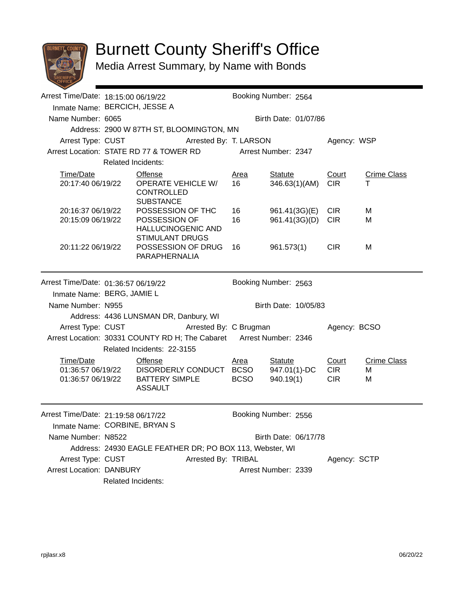

## Burnett County Sheriff's Office

Media Arrest Summary, by Name with Bonds

|                                           |                                                                    | Booking Number: 2564                                                                                                                                                                                                                                                                                                                                                                                                                        |                                                                                                                           |                                                                                                                                                                                                                                                                                                                                                                                                          |                                                                                                       |                                                         |  |  |
|-------------------------------------------|--------------------------------------------------------------------|---------------------------------------------------------------------------------------------------------------------------------------------------------------------------------------------------------------------------------------------------------------------------------------------------------------------------------------------------------------------------------------------------------------------------------------------|---------------------------------------------------------------------------------------------------------------------------|----------------------------------------------------------------------------------------------------------------------------------------------------------------------------------------------------------------------------------------------------------------------------------------------------------------------------------------------------------------------------------------------------------|-------------------------------------------------------------------------------------------------------|---------------------------------------------------------|--|--|
|                                           |                                                                    |                                                                                                                                                                                                                                                                                                                                                                                                                                             |                                                                                                                           |                                                                                                                                                                                                                                                                                                                                                                                                          |                                                                                                       |                                                         |  |  |
| Name Number: 6065<br>Birth Date: 01/07/86 |                                                                    |                                                                                                                                                                                                                                                                                                                                                                                                                                             |                                                                                                                           |                                                                                                                                                                                                                                                                                                                                                                                                          |                                                                                                       |                                                         |  |  |
|                                           |                                                                    |                                                                                                                                                                                                                                                                                                                                                                                                                                             |                                                                                                                           |                                                                                                                                                                                                                                                                                                                                                                                                          |                                                                                                       |                                                         |  |  |
|                                           |                                                                    |                                                                                                                                                                                                                                                                                                                                                                                                                                             |                                                                                                                           | Agency: WSP                                                                                                                                                                                                                                                                                                                                                                                              |                                                                                                       |                                                         |  |  |
|                                           |                                                                    |                                                                                                                                                                                                                                                                                                                                                                                                                                             |                                                                                                                           |                                                                                                                                                                                                                                                                                                                                                                                                          |                                                                                                       |                                                         |  |  |
|                                           |                                                                    |                                                                                                                                                                                                                                                                                                                                                                                                                                             |                                                                                                                           |                                                                                                                                                                                                                                                                                                                                                                                                          |                                                                                                       |                                                         |  |  |
|                                           | <b>Offense</b>                                                     | <u>Area</u>                                                                                                                                                                                                                                                                                                                                                                                                                                 | <b>Statute</b>                                                                                                            | Court                                                                                                                                                                                                                                                                                                                                                                                                    | <b>Crime Class</b>                                                                                    |                                                         |  |  |
| 20:17:40 06/19/22                         | <b>OPERATE VEHICLE W/</b><br><b>CONTROLLED</b><br><b>SUBSTANCE</b> | 16                                                                                                                                                                                                                                                                                                                                                                                                                                          | 346.63(1)(AM)                                                                                                             | <b>CIR</b>                                                                                                                                                                                                                                                                                                                                                                                               | т                                                                                                     |                                                         |  |  |
| 20:16:37 06/19/22                         | POSSESSION OF THC                                                  | 16                                                                                                                                                                                                                                                                                                                                                                                                                                          |                                                                                                                           | <b>CIR</b>                                                                                                                                                                                                                                                                                                                                                                                               | M                                                                                                     |                                                         |  |  |
| 20:15:09 06/19/22                         | POSSESSION OF                                                      | 16                                                                                                                                                                                                                                                                                                                                                                                                                                          |                                                                                                                           | <b>CIR</b>                                                                                                                                                                                                                                                                                                                                                                                               | M                                                                                                     |                                                         |  |  |
|                                           |                                                                    |                                                                                                                                                                                                                                                                                                                                                                                                                                             |                                                                                                                           |                                                                                                                                                                                                                                                                                                                                                                                                          |                                                                                                       |                                                         |  |  |
| 20:11:22 06/19/22                         |                                                                    |                                                                                                                                                                                                                                                                                                                                                                                                                                             | 961.573(1)                                                                                                                | <b>CIR</b>                                                                                                                                                                                                                                                                                                                                                                                               | M                                                                                                     |                                                         |  |  |
|                                           |                                                                    |                                                                                                                                                                                                                                                                                                                                                                                                                                             |                                                                                                                           |                                                                                                                                                                                                                                                                                                                                                                                                          |                                                                                                       |                                                         |  |  |
|                                           |                                                                    |                                                                                                                                                                                                                                                                                                                                                                                                                                             |                                                                                                                           |                                                                                                                                                                                                                                                                                                                                                                                                          |                                                                                                       |                                                         |  |  |
|                                           |                                                                    |                                                                                                                                                                                                                                                                                                                                                                                                                                             |                                                                                                                           |                                                                                                                                                                                                                                                                                                                                                                                                          |                                                                                                       |                                                         |  |  |
|                                           |                                                                    |                                                                                                                                                                                                                                                                                                                                                                                                                                             |                                                                                                                           |                                                                                                                                                                                                                                                                                                                                                                                                          |                                                                                                       |                                                         |  |  |
|                                           |                                                                    |                                                                                                                                                                                                                                                                                                                                                                                                                                             |                                                                                                                           |                                                                                                                                                                                                                                                                                                                                                                                                          |                                                                                                       |                                                         |  |  |
|                                           |                                                                    |                                                                                                                                                                                                                                                                                                                                                                                                                                             |                                                                                                                           |                                                                                                                                                                                                                                                                                                                                                                                                          |                                                                                                       |                                                         |  |  |
|                                           |                                                                    |                                                                                                                                                                                                                                                                                                                                                                                                                                             |                                                                                                                           |                                                                                                                                                                                                                                                                                                                                                                                                          |                                                                                                       |                                                         |  |  |
|                                           |                                                                    |                                                                                                                                                                                                                                                                                                                                                                                                                                             |                                                                                                                           |                                                                                                                                                                                                                                                                                                                                                                                                          |                                                                                                       |                                                         |  |  |
|                                           |                                                                    |                                                                                                                                                                                                                                                                                                                                                                                                                                             |                                                                                                                           |                                                                                                                                                                                                                                                                                                                                                                                                          |                                                                                                       |                                                         |  |  |
|                                           |                                                                    |                                                                                                                                                                                                                                                                                                                                                                                                                                             |                                                                                                                           |                                                                                                                                                                                                                                                                                                                                                                                                          |                                                                                                       |                                                         |  |  |
| 01:36:57 06/19/22                         |                                                                    | <b>BCSO</b>                                                                                                                                                                                                                                                                                                                                                                                                                                 | 940.19(1)                                                                                                                 | <b>CIR</b>                                                                                                                                                                                                                                                                                                                                                                                               | м                                                                                                     |                                                         |  |  |
|                                           | <b>ASSAULT</b>                                                     |                                                                                                                                                                                                                                                                                                                                                                                                                                             |                                                                                                                           |                                                                                                                                                                                                                                                                                                                                                                                                          |                                                                                                       |                                                         |  |  |
|                                           |                                                                    |                                                                                                                                                                                                                                                                                                                                                                                                                                             |                                                                                                                           |                                                                                                                                                                                                                                                                                                                                                                                                          |                                                                                                       |                                                         |  |  |
|                                           |                                                                    |                                                                                                                                                                                                                                                                                                                                                                                                                                             |                                                                                                                           |                                                                                                                                                                                                                                                                                                                                                                                                          |                                                                                                       |                                                         |  |  |
|                                           |                                                                    |                                                                                                                                                                                                                                                                                                                                                                                                                                             |                                                                                                                           |                                                                                                                                                                                                                                                                                                                                                                                                          |                                                                                                       |                                                         |  |  |
| Name Number: N8522                        |                                                                    |                                                                                                                                                                                                                                                                                                                                                                                                                                             |                                                                                                                           |                                                                                                                                                                                                                                                                                                                                                                                                          |                                                                                                       |                                                         |  |  |
|                                           |                                                                    |                                                                                                                                                                                                                                                                                                                                                                                                                                             |                                                                                                                           |                                                                                                                                                                                                                                                                                                                                                                                                          |                                                                                                       |                                                         |  |  |
| Arrest Type: CUST                         |                                                                    |                                                                                                                                                                                                                                                                                                                                                                                                                                             |                                                                                                                           |                                                                                                                                                                                                                                                                                                                                                                                                          |                                                                                                       |                                                         |  |  |
|                                           |                                                                    |                                                                                                                                                                                                                                                                                                                                                                                                                                             |                                                                                                                           |                                                                                                                                                                                                                                                                                                                                                                                                          |                                                                                                       |                                                         |  |  |
| Related Incidents:                        |                                                                    |                                                                                                                                                                                                                                                                                                                                                                                                                                             |                                                                                                                           |                                                                                                                                                                                                                                                                                                                                                                                                          |                                                                                                       |                                                         |  |  |
|                                           | Name Number: N955<br>Arrest Type: CUST<br>01:36:57 06/19/22        | Arrest Time/Date: 18:15:00 06/19/22<br>Inmate Name: BERCICH, JESSE A<br><b>Related Incidents:</b><br>HALLUCINOGENIC AND<br><b>STIMULANT DRUGS</b><br>PARAPHERNALIA<br>Arrest Time/Date: 01:36:57 06/19/22<br>Inmate Name: BERG, JAMIE L<br>Address: 4436 LUNSMAN DR, Danbury, WI<br>Related Incidents: 22-3155<br><b>Offense</b><br>Arrest Time/Date: 21:19:58 06/17/22<br>Inmate Name: CORBINE, BRYAN S<br><b>Arrest Location: DANBURY</b> | Address: 2900 W 87TH ST, BLOOMINGTON, MN<br>POSSESSION OF DRUG 16<br><u>Area</u><br>BATTERY SIMPLE<br>Arrested By: TRIBAL | Arrest Type: CUST Arrested By: T. LARSON<br>Arrest Location: STATE RD 77 & TOWER RD Arrest Number: 2347<br>Booking Number: 2563<br>Arrested By: C Brugman<br>Arrest Location: 30331 COUNTY RD H; The Cabaret Arrest Number: 2346<br><b>Statute</b><br>DISORDERLY CONDUCT BCSO<br>947.01(1)-DC<br>Booking Number: 2556<br>Address: 24930 EAGLE FEATHER DR; PO BOX 113, Webster, WI<br>Arrest Number: 2339 | 961.41(3G)(E)<br>961.41(3G)(D)<br>Birth Date: 10/05/83<br>Court<br><b>CIR</b><br>Birth Date: 06/17/78 | Agency: BCSO<br><b>Crime Class</b><br>M<br>Agency: SCTP |  |  |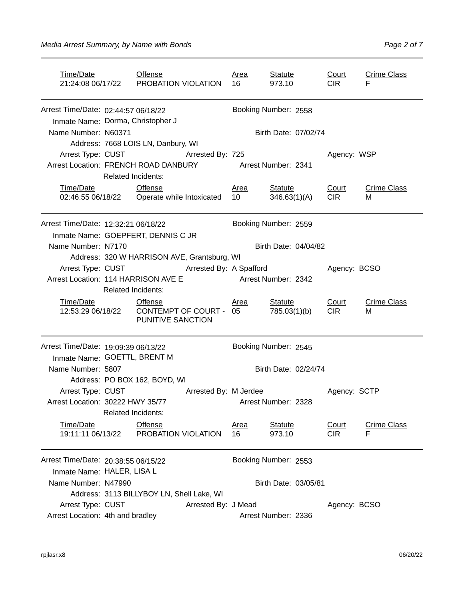| Time/Date                                                                |                                                                                                      | <b>Offense</b><br>21:24:08 06/17/22 PROBATION VIOLATION        |                       | <u>Area</u><br>16 | <b>Statute</b><br>973.10       | Court<br><b>CIR</b>        | <b>Crime Class</b><br>F |  |
|--------------------------------------------------------------------------|------------------------------------------------------------------------------------------------------|----------------------------------------------------------------|-----------------------|-------------------|--------------------------------|----------------------------|-------------------------|--|
| Arrest Time/Date: 02:44:57 06/18/22<br>Inmate Name: Dorma, Christopher J |                                                                                                      |                                                                |                       |                   | Booking Number: 2558           |                            |                         |  |
| Name Number: N60371                                                      |                                                                                                      |                                                                |                       |                   | Birth Date: 07/02/74           |                            |                         |  |
|                                                                          |                                                                                                      | Address: 7668 LOIS LN, Danbury, WI                             |                       |                   |                                |                            |                         |  |
|                                                                          |                                                                                                      | Arrest Type: CUST Arrested By: 725                             |                       |                   |                                | Agency: WSP                |                         |  |
| Arrest Location: FRENCH ROAD DANBURY Arrest Number: 2341                 |                                                                                                      |                                                                |                       |                   |                                |                            |                         |  |
|                                                                          | <b>Related Incidents:</b>                                                                            |                                                                |                       |                   |                                |                            |                         |  |
| Time/Date                                                                |                                                                                                      | <b>Offense</b><br>02:46:55 06/18/22  Operate while Intoxicated |                       | <b>Area</b><br>10 | <b>Statute</b><br>346.63(1)(A) | Court<br><b>CIR</b>        | <b>Crime Class</b><br>м |  |
| Arrest Time/Date: 12:32:21 06/18/22                                      |                                                                                                      |                                                                |                       |                   | Booking Number: 2559           |                            |                         |  |
| Inmate Name: GOEPFERT, DENNIS C JR                                       |                                                                                                      |                                                                |                       |                   |                                |                            |                         |  |
| Name Number: N7170                                                       |                                                                                                      |                                                                |                       |                   | Birth Date: 04/04/82           |                            |                         |  |
|                                                                          |                                                                                                      | Address: 320 W HARRISON AVE, Grantsburg, WI                    |                       |                   |                                |                            |                         |  |
|                                                                          | Arrest Type: CUST Arrested By: A Spafford<br>Arrest Location: 114 HARRISON AVE E Arrest Number: 2342 |                                                                |                       |                   |                                | Agency: BCSO               |                         |  |
|                                                                          | <b>Related Incidents:</b>                                                                            |                                                                |                       |                   |                                |                            |                         |  |
| Time/Date<br>12:53:29 06/18/22                                           |                                                                                                      | <b>Offense</b><br>CONTEMPT OF COURT - 05<br>PUNITIVE SANCTION  |                       | <b>Area</b>       | <b>Statute</b><br>785.03(1)(b) | Court<br><b>CIR</b>        | <b>Crime Class</b><br>м |  |
| Arrest Time/Date: 19:09:39 06/13/22                                      |                                                                                                      |                                                                |                       |                   | Booking Number: 2545           |                            |                         |  |
| Inmate Name: GOETTL, BRENT M                                             |                                                                                                      |                                                                |                       |                   |                                |                            |                         |  |
| Name Number: 5807                                                        |                                                                                                      |                                                                |                       |                   | Birth Date: 02/24/74           |                            |                         |  |
|                                                                          |                                                                                                      | Address: PO BOX 162, BOYD, WI                                  |                       |                   |                                |                            |                         |  |
| Arrest Type: CUST                                                        |                                                                                                      |                                                                | Arrested By: M Jerdee |                   |                                | Agency: SCTP               |                         |  |
| Arrest Location: 30222 HWY 35/77                                         |                                                                                                      |                                                                |                       |                   | Arrest Number: 2328            |                            |                         |  |
|                                                                          | <b>Related Incidents:</b>                                                                            |                                                                |                       |                   |                                |                            |                         |  |
| Time/Date<br>19:11:11 06/13/22                                           |                                                                                                      | Offense<br>PROBATION VIOLATION                                 |                       | <u>Area</u><br>16 | <b>Statute</b><br>973.10       | <b>Court</b><br><b>CIR</b> | <u>Crime Class</u><br>F |  |
| Arrest Time/Date: 20:38:55 06/15/22                                      |                                                                                                      |                                                                |                       |                   | Booking Number: 2553           |                            |                         |  |
| Inmate Name: HALER, LISA L                                               |                                                                                                      |                                                                |                       |                   |                                |                            |                         |  |
| Name Number: N47990                                                      |                                                                                                      |                                                                |                       |                   | Birth Date: 03/05/81           |                            |                         |  |
|                                                                          |                                                                                                      | Address: 3113 BILLYBOY LN, Shell Lake, WI                      |                       |                   |                                |                            |                         |  |
| Arrest Type: CUST                                                        |                                                                                                      |                                                                | Arrested By: J Mead   |                   |                                | Agency: BCSO               |                         |  |
| Arrest Location: 4th and bradley                                         |                                                                                                      |                                                                |                       |                   | Arrest Number: 2336            |                            |                         |  |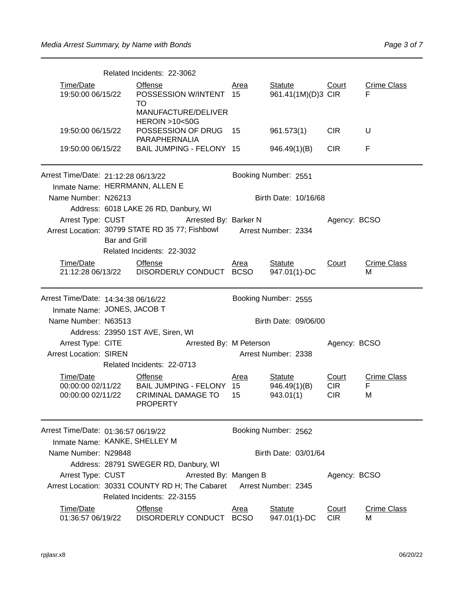|                                                                                                                                                                                                                  |                                                                                               | Related Incidents: 22-3062                                                                                |                         |                                             |                                   |                              |  |
|------------------------------------------------------------------------------------------------------------------------------------------------------------------------------------------------------------------|-----------------------------------------------------------------------------------------------|-----------------------------------------------------------------------------------------------------------|-------------------------|---------------------------------------------|-----------------------------------|------------------------------|--|
| Time/Date<br>19:50:00 06/15/22                                                                                                                                                                                   |                                                                                               | <b>Offense</b><br>POSSESSION W/INTENT 15<br>TO                                                            | <u>Area</u>             | <b>Statute</b><br>961.41(1M)(D)3 CIR        | <u>Court</u>                      | <b>Crime Class</b><br>F      |  |
| <b>HEROIN &gt;10&lt;50G</b><br>19:50:00 06/15/22                                                                                                                                                                 |                                                                                               | MANUFACTURE/DELIVER<br>POSSESSION OF DRUG 15<br>PARAPHERNALIA                                             |                         | 961.573(1)                                  | <b>CIR</b>                        | U                            |  |
| 19:50:00 06/15/22                                                                                                                                                                                                |                                                                                               | BAIL JUMPING - FELONY 15<br>946.49(1)(B)<br><b>CIR</b><br>F                                               |                         |                                             |                                   |                              |  |
| Arrest Time/Date: 21:12:28 06/13/22                                                                                                                                                                              |                                                                                               | Inmate Name: HERRMANN, ALLEN E                                                                            | Booking Number: 2551    |                                             |                                   |                              |  |
| Name Number: N26213                                                                                                                                                                                              |                                                                                               |                                                                                                           |                         | Birth Date: 10/16/68                        |                                   |                              |  |
| Address: 6018 LAKE 26 RD, Danbury, WI<br>Arrest Type: CUST<br>Arrested By: Barker N<br>Arrest Location: 30799 STATE RD 35 77; Fishbowl Arrest Number: 2334<br><b>Bar and Grill</b><br>Related Incidents: 22-3032 |                                                                                               |                                                                                                           |                         |                                             | Agency: BCSO                      |                              |  |
| Time/Date                                                                                                                                                                                                        |                                                                                               | <b>Offense</b><br>21:12:28 06/13/22    DISORDERLY CONDUCT                                                 | Area<br><b>BCSO</b>     | <b>Statute</b><br>947.01(1)-DC              | Court                             | <b>Crime Class</b><br>м      |  |
| Arrest Time/Date: 14:34:38 06/16/22<br>Inmate Name: JONES, JACOB T                                                                                                                                               |                                                                                               |                                                                                                           |                         | Booking Number: 2555                        |                                   |                              |  |
| Name Number: N63513                                                                                                                                                                                              |                                                                                               |                                                                                                           |                         | Birth Date: 09/06/00                        |                                   |                              |  |
|                                                                                                                                                                                                                  |                                                                                               | Address: 23950 1ST AVE, Siren, WI                                                                         |                         |                                             |                                   |                              |  |
| Arrest Type: CITE                                                                                                                                                                                                |                                                                                               | Arrested By: M Peterson                                                                                   |                         |                                             | Agency: BCSO                      |                              |  |
| <b>Arrest Location: SIREN</b>                                                                                                                                                                                    |                                                                                               | Related Incidents: 22-0713                                                                                | Arrest Number: 2338     |                                             |                                   |                              |  |
| Time/Date<br>00:00:00 02/11/22                                                                                                                                                                                   |                                                                                               | <b>Offense</b><br>00:00:00 02/11/22 BAIL JUMPING - FELONY<br><b>CRIMINAL DAMAGE TO</b><br><b>PROPERTY</b> | <u>Area</u><br>15<br>15 | <b>Statute</b><br>946.49(1)(B)<br>943.01(1) | Court<br><b>CIR</b><br><b>CIR</b> | <b>Crime Class</b><br>F<br>M |  |
| Arrest Time/Date: 01:36:57 06/19/22                                                                                                                                                                              |                                                                                               |                                                                                                           |                         | Booking Number: 2562                        |                                   |                              |  |
|                                                                                                                                                                                                                  | Inmate Name: KANKE, SHELLEY M<br>Name Number: N29848<br>Address: 28791 SWEGER RD, Danbury, WI |                                                                                                           |                         | Birth Date: 03/01/64                        |                                   |                              |  |
| Arrest Type: CUST                                                                                                                                                                                                |                                                                                               | Arrested By: Mangen B<br>Arrest Location: 30331 COUNTY RD H; The Cabaret<br>Related Incidents: 22-3155    | Arrest Number: 2345     |                                             | Agency: BCSO                      |                              |  |
| Time/Date<br>01:36:57 06/19/22                                                                                                                                                                                   |                                                                                               | <b>Offense</b><br>DISORDERLY CONDUCT                                                                      | Area<br><b>BCSO</b>     | <b>Statute</b><br>947.01(1)-DC              | Court<br><b>CIR</b>               | <b>Crime Class</b><br>м      |  |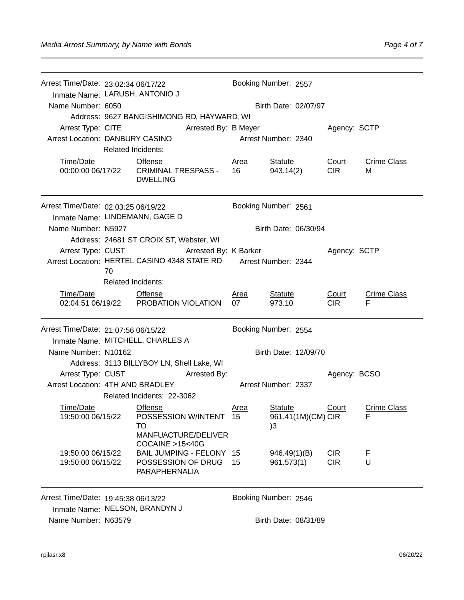| Arrest Time/Date: 23:02:34 06/17/22    |                                                                               |                                                                       |                      | Booking Number: 2557                                   |                          |                         |  |  |  |
|----------------------------------------|-------------------------------------------------------------------------------|-----------------------------------------------------------------------|----------------------|--------------------------------------------------------|--------------------------|-------------------------|--|--|--|
|                                        | Inmate Name: LARUSH, ANTONIO J                                                |                                                                       |                      |                                                        |                          |                         |  |  |  |
| Name Number: 6050                      |                                                                               |                                                                       |                      | Birth Date: 02/07/97                                   |                          |                         |  |  |  |
|                                        |                                                                               | Address: 9627 BANGISHIMONG RD, HAYWARD, WI                            |                      |                                                        |                          |                         |  |  |  |
| Arrest Type: CITE                      |                                                                               | Arrested By: B Meyer                                                  |                      | Agency: SCTP                                           |                          |                         |  |  |  |
| Arrest Location: DANBURY CASINO        | <b>Related Incidents:</b>                                                     |                                                                       |                      | Arrest Number: 2340                                    |                          |                         |  |  |  |
|                                        |                                                                               |                                                                       |                      |                                                        |                          |                         |  |  |  |
| Time/Date                              |                                                                               | Offense<br>00:00:00 06/17/22 CRIMINAL TRESPASS -<br><b>DWELLING</b>   | Area<br>16           | <b>Statute</b><br>943.14(2)                            | Court<br><b>CIR</b>      | <b>Crime Class</b><br>м |  |  |  |
|                                        | Arrest Time/Date: 02:03:25 06/19/22<br>Booking Number: 2561                   |                                                                       |                      |                                                        |                          |                         |  |  |  |
| Inmate Name: LINDEMANN, GAGE D         |                                                                               |                                                                       |                      |                                                        |                          |                         |  |  |  |
| Name Number: N5927                     |                                                                               |                                                                       |                      | Birth Date: 06/30/94                                   |                          |                         |  |  |  |
|                                        |                                                                               | Address: 24681 ST CROIX ST, Webster, WI                               |                      |                                                        |                          |                         |  |  |  |
|                                        |                                                                               | Arrest Type: CUST Arrested By: K Barker                               |                      |                                                        | Agency: SCTP             |                         |  |  |  |
|                                        | 70                                                                            | Arrest Location: HERTEL CASINO 4348 STATE RD                          |                      | Arrest Number: 2344                                    |                          |                         |  |  |  |
|                                        | <b>Related Incidents:</b>                                                     |                                                                       |                      |                                                        |                          |                         |  |  |  |
| Time/Date                              |                                                                               | <b>Offense</b>                                                        | Area                 | <b>Statute</b>                                         | Court                    | <b>Crime Class</b>      |  |  |  |
|                                        |                                                                               | 02:04:51 06/19/22 PROBATION VIOLATION                                 | 07                   | 973.10                                                 | CIR <sub>1</sub>         | F                       |  |  |  |
| Arrest Time/Date: 21:07:56 06/15/22    |                                                                               |                                                                       |                      | Booking Number: 2554                                   |                          |                         |  |  |  |
|                                        |                                                                               | Inmate Name: MITCHELL, CHARLES A                                      |                      |                                                        |                          |                         |  |  |  |
| Name Number: N10162                    |                                                                               |                                                                       | Birth Date: 12/09/70 |                                                        |                          |                         |  |  |  |
|                                        |                                                                               | Address: 3113 BILLYBOY LN, Shell Lake, WI                             |                      |                                                        |                          |                         |  |  |  |
| Arrest Type: CUST                      |                                                                               | Arrested By:                                                          |                      |                                                        | Agency: BCSO             |                         |  |  |  |
| Arrest Location: 4TH AND BRADLEY       |                                                                               |                                                                       |                      | Arrest Number: 2337                                    |                          |                         |  |  |  |
|                                        |                                                                               | Related Incidents: 22-3062                                            |                      |                                                        |                          |                         |  |  |  |
| Time/Date<br>19:50:00 06/15/22         |                                                                               | <b>Offense</b><br>POSSESSION W/INTENT 15<br>TO<br>MANFUACTURE/DELIVER | <u>Area</u>          | <b>Statute</b><br>961.41(1M)(CM) CIR<br>3 <sup>3</sup> | <u>Court</u>             | <b>Crime Class</b><br>F |  |  |  |
|                                        |                                                                               | COCAINE >15<40G                                                       |                      |                                                        |                          |                         |  |  |  |
| 19:50:00 06/15/22<br>19:50:00 06/15/22 |                                                                               | BAIL JUMPING - FELONY 15<br>POSSESSION OF DRUG 15<br>PARAPHERNALIA    |                      | 946.49(1)(B)<br>961.573(1)                             | <b>CIR</b><br><b>CIR</b> | F<br>U                  |  |  |  |
| Arrest Time/Date: 19:45:38 06/13/22    |                                                                               |                                                                       |                      | Booking Number: 2546                                   |                          |                         |  |  |  |
|                                        | Inmate Name: NELSON, BRANDYN J<br>Name Number: N63579<br>Birth Date: 08/31/89 |                                                                       |                      |                                                        |                          |                         |  |  |  |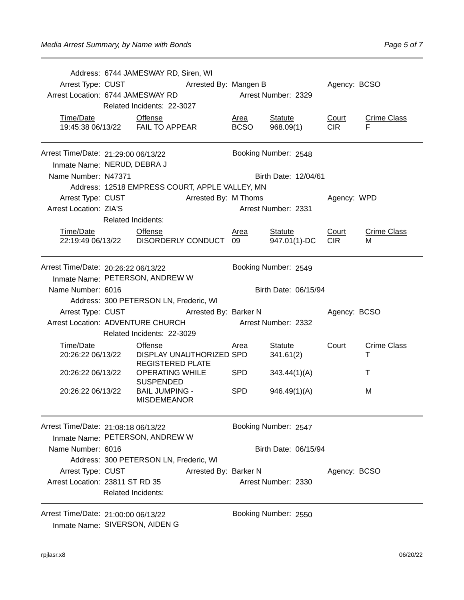|                                                                        |                           | Address: 6744 JAMESWAY RD, Siren, WI                  |                          |                     |                                |                     |                         |
|------------------------------------------------------------------------|---------------------------|-------------------------------------------------------|--------------------------|---------------------|--------------------------------|---------------------|-------------------------|
|                                                                        |                           | Arrest Type: CUST Arrested By: Mangen B               |                          |                     |                                | Agency: BCSO        |                         |
| Arrest Location: 6744 JAMESWAY RD                                      |                           |                                                       |                          |                     | Arrest Number: 2329            |                     |                         |
|                                                                        |                           | Related Incidents: 22-3027                            |                          |                     |                                |                     |                         |
| Time/Date                                                              |                           | <b>Offense</b><br>19:45:38 06/13/22    FAIL TO APPEAR |                          | Area<br><b>BCSO</b> | <b>Statute</b><br>968.09(1)    | Court<br><b>CIR</b> | <b>Crime Class</b><br>F |
|                                                                        |                           |                                                       |                          |                     |                                |                     |                         |
| Arrest Time/Date: 21:29:00 06/13/22<br>Inmate Name: NERUD, DEBRA J     |                           |                                                       |                          |                     | Booking Number: 2548           |                     |                         |
| Name Number: N47371                                                    |                           |                                                       |                          |                     | Birth Date: 12/04/61           |                     |                         |
|                                                                        |                           | Address: 12518 EMPRESS COURT, APPLE VALLEY, MN        |                          |                     |                                |                     |                         |
|                                                                        |                           | Arrest Type: CUST Arrested By: M Thoms                |                          |                     |                                | Agency: WPD         |                         |
| <b>Arrest Location: ZIA'S</b>                                          |                           |                                                       |                          |                     | Arrest Number: 2331            |                     |                         |
|                                                                        | <b>Related Incidents:</b> |                                                       |                          |                     |                                |                     |                         |
| Time/Date Offense                                                      |                           | 22:19:49 06/13/22    DISORDERLY CONDUCT    09         |                          | Area                | <b>Statute</b><br>947.01(1)-DC | Court<br><b>CIR</b> | <b>Crime Class</b><br>м |
| Arrest Time/Date: 20:26:22 06/13/22                                    |                           |                                                       |                          |                     | Booking Number: 2549           |                     |                         |
| Inmate Name: PETERSON, ANDREW W                                        |                           |                                                       |                          |                     |                                |                     |                         |
| Name Number: 6016                                                      |                           |                                                       |                          |                     | Birth Date: 06/15/94           |                     |                         |
|                                                                        |                           | Address: 300 PETERSON LN, Frederic, WI                |                          |                     |                                |                     |                         |
|                                                                        |                           | Arrest Type: CUST Arrested By: Barker N               |                          |                     |                                | Agency: BCSO        |                         |
| Arrest Location: ADVENTURE CHURCH Arrest Number: 2332                  |                           |                                                       |                          |                     |                                |                     |                         |
|                                                                        |                           | Related Incidents: 22-3029                            |                          |                     |                                |                     |                         |
| Time/Date<br>20:26:22 06/13/22                                         |                           | <b>Offense</b><br><b>REGISTERED PLATE</b>             | DISPLAY UNAUTHORIZED SPD | <b>Area</b>         | <b>Statute</b><br>341.61(2)    | <b>Court</b>        | <b>Crime Class</b>      |
| 20:26:22 06/13/22                                                      |                           | <b>OPERATING WHILE</b><br><b>SUSPENDED</b>            |                          | SPD                 | 343.44(1)(A)                   |                     | т                       |
| 20:26:22 06/13/22                                                      |                           | <b>BAIL JUMPING -</b><br><b>MISDEMEANOR</b>           |                          | <b>SPD</b>          | 946.49(1)(A)                   |                     | М                       |
| Arrest Time/Date: 21:08:18 06/13/22<br>Inmate Name: PETERSON, ANDREW W |                           |                                                       |                          |                     | Booking Number: 2547           |                     |                         |
| Name Number: 6016                                                      |                           |                                                       |                          |                     | Birth Date: 06/15/94           |                     |                         |
|                                                                        |                           | Address: 300 PETERSON LN, Frederic, WI                |                          |                     |                                |                     |                         |
| Arrest Type: CUST                                                      |                           |                                                       | Arrested By: Barker N    |                     |                                | Agency: BCSO        |                         |
| Arrest Location: 23811 ST RD 35                                        | <b>Related Incidents:</b> |                                                       |                          |                     | Arrest Number: 2330            |                     |                         |
| Arrest Time/Date: 21:00:00 06/13/22<br>Inmate Name: SIVERSON, AIDEN G  |                           |                                                       |                          |                     | Booking Number: 2550           |                     |                         |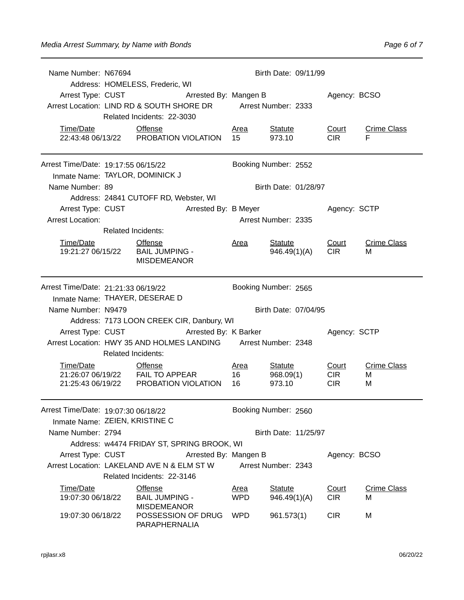| Name Number: N67694                 | Birth Date: 09/11/99           |                                                                |                                                             |                       |                                |                            |                         |  |  |
|-------------------------------------|--------------------------------|----------------------------------------------------------------|-------------------------------------------------------------|-----------------------|--------------------------------|----------------------------|-------------------------|--|--|
|                                     |                                | Address: HOMELESS, Frederic, WI                                |                                                             |                       |                                |                            |                         |  |  |
|                                     |                                |                                                                | Arrest Type: CUST <b>Arrested By: Mangen B</b> Agency: BCSO |                       |                                |                            |                         |  |  |
|                                     |                                | Arrest Location: LIND RD & SOUTH SHORE DR Arrest Number: 2333  |                                                             |                       |                                |                            |                         |  |  |
|                                     |                                | Related Incidents: 22-3030                                     |                                                             |                       |                                |                            |                         |  |  |
| Time/Date                           | <b>Offense</b>                 | 22:43:48 06/13/22 PROBATION VIOLATION                          |                                                             | <u>Area</u><br>15     | <u>Statute</u><br>973.10       | <u>Court</u><br><b>CIR</b> | <b>Crime Class</b><br>F |  |  |
|                                     |                                |                                                                |                                                             |                       |                                |                            |                         |  |  |
| Arrest Time/Date: 19:17:55 06/15/22 |                                |                                                                |                                                             | Booking Number: 2552  |                                |                            |                         |  |  |
| Inmate Name: TAYLOR, DOMINICK J     |                                |                                                                |                                                             |                       |                                |                            |                         |  |  |
| Name Number: 89                     |                                |                                                                |                                                             |                       | Birth Date: 01/28/97           |                            |                         |  |  |
|                                     |                                | Address: 24841 CUTOFF RD, Webster, WI                          |                                                             |                       |                                |                            |                         |  |  |
| Arrest Type: CUST                   |                                | <b>Arrested By: B Meyer</b>                                    |                                                             |                       |                                | Agency: SCTP               |                         |  |  |
| <b>Arrest Location:</b>             |                                |                                                                |                                                             |                       | Arrest Number: 2335            |                            |                         |  |  |
|                                     | <b>Related Incidents:</b>      |                                                                |                                                             |                       |                                |                            |                         |  |  |
| Time/Date Offense                   |                                | 19:21:27 06/15/22 BAIL JUMPING -<br><b>MISDEMEANOR</b>         |                                                             | <u>Area</u>           | <b>Statute</b><br>946.49(1)(A) | Court<br><b>CIR</b>        | <b>Crime Class</b><br>м |  |  |
| Arrest Time/Date: 21:21:33 06/19/22 |                                |                                                                |                                                             |                       | Booking Number: 2565           |                            |                         |  |  |
|                                     | Inmate Name: THAYER, DESERAE D |                                                                |                                                             |                       |                                |                            |                         |  |  |
| Name Number: N9479                  |                                |                                                                |                                                             |                       | Birth Date: 07/04/95           |                            |                         |  |  |
|                                     |                                | Address: 7173 LOON CREEK CIR, Danbury, WI                      |                                                             |                       |                                |                            |                         |  |  |
|                                     |                                | Arrest Type: CUST Arrested By: K Barker                        |                                                             |                       |                                | Agency: SCTP               |                         |  |  |
|                                     |                                | Arrest Location: HWY 35 AND HOLMES LANDING Arrest Number: 2348 |                                                             |                       |                                |                            |                         |  |  |
|                                     | <b>Related Incidents:</b>      |                                                                |                                                             |                       |                                |                            |                         |  |  |
| Time/Date                           | <b>Offense</b>                 | 21:26:07 06/19/22    FAIL TO APPEAR                            | $\overline{16}$                                             | <u>Area</u>           | <u>Statute</u><br>968.09(1)    | <u>Court</u><br><b>CIR</b> | <b>Crime Class</b><br>М |  |  |
|                                     |                                | 21:25:43 06/19/22 PROBATION VIOLATION                          |                                                             | 16                    | 973.10                         | <b>CIR</b>                 | М                       |  |  |
| Arrest Time/Date: 19:07:30 06/18/22 |                                |                                                                |                                                             |                       | Booking Number: 2560           |                            |                         |  |  |
| Inmate Name: ZEIEN, KRISTINE C      |                                |                                                                |                                                             |                       |                                |                            |                         |  |  |
| Name Number: 2794                   |                                |                                                                |                                                             |                       | Birth Date: 11/25/97           |                            |                         |  |  |
|                                     |                                | Address: w4474 FRIDAY ST, SPRING BROOK, WI                     |                                                             |                       |                                |                            |                         |  |  |
| Arrest Type: CUST                   |                                |                                                                |                                                             | Arrested By: Mangen B |                                | Agency: BCSO               |                         |  |  |
|                                     |                                | Arrest Location: LAKELAND AVE N & ELM ST W                     |                                                             |                       | Arrest Number: 2343            |                            |                         |  |  |
|                                     |                                | Related Incidents: 22-3146                                     |                                                             |                       |                                |                            |                         |  |  |
| Time/Date                           |                                | <b>Offense</b>                                                 |                                                             | <u>Area</u>           | <b>Statute</b>                 | Court                      | <b>Crime Class</b>      |  |  |
| 19:07:30 06/18/22                   |                                | <b>BAIL JUMPING -</b><br><b>MISDEMEANOR</b>                    |                                                             | <b>WPD</b>            | 946.49(1)(A)                   | <b>CIR</b>                 | м                       |  |  |
| 19:07:30 06/18/22                   |                                | POSSESSION OF DRUG<br>PARAPHERNALIA                            |                                                             | <b>WPD</b>            | 961.573(1)                     | <b>CIR</b>                 | M                       |  |  |